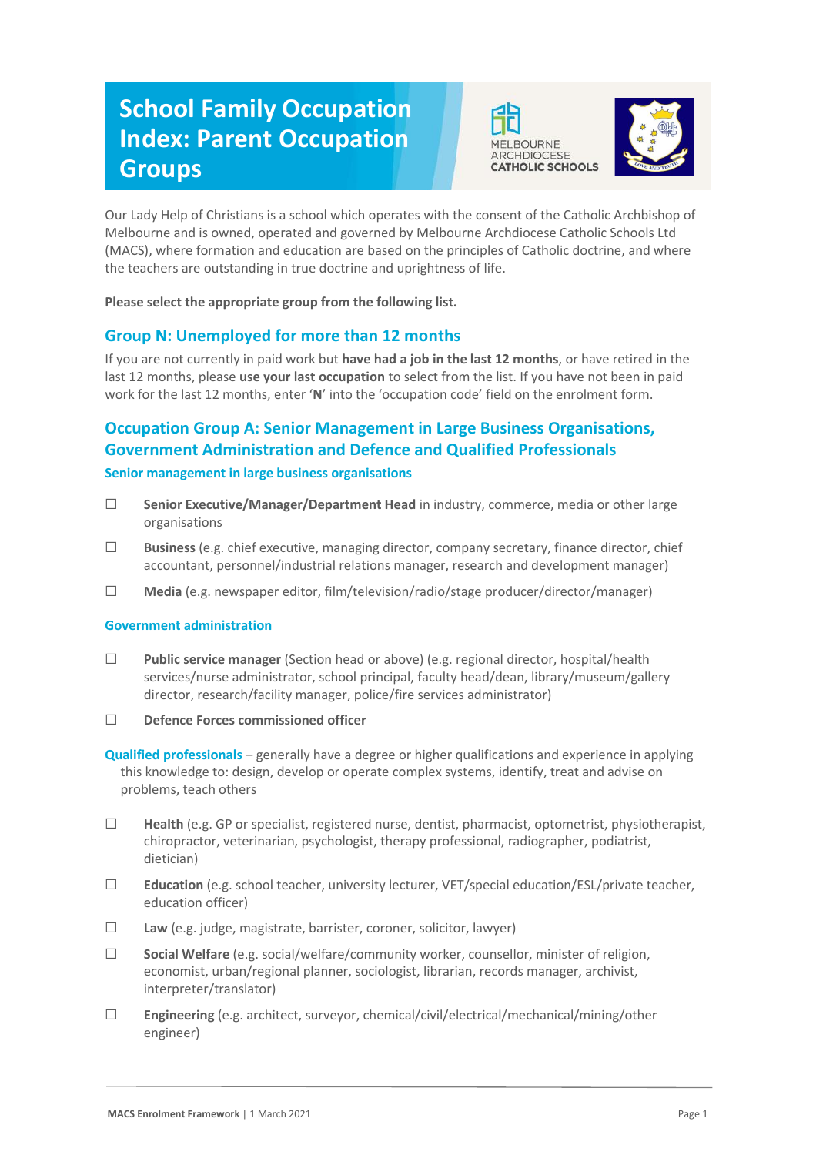# **School Family Occupation Index: Parent Occupation Groups**





Our Lady Help of Christians is a school which operates with the consent of the Catholic Archbishop of Melbourne and is owned, operated and governed by Melbourne Archdiocese Catholic Schools Ltd (MACS), where formation and education are based on the principles of Catholic doctrine, and where the teachers are outstanding in true doctrine and uprightness of life.

**Please select the appropriate group from the following list.**

# **Group N: Unemployed for more than 12 months**

If you are not currently in paid work but **have had a job in the last 12 months**, or have retired in the last 12 months, please **use your last occupation** to select from the list. If you have not been in paid work for the last 12 months, enter '**N**' into the 'occupation code' field on the enrolment form.

# **Occupation Group A: Senior Management in Large Business Organisations, Government Administration and Defence and Qualified Professionals**

## **Senior management in large business organisations**

- ☐ **Senior Executive/Manager/Department Head** in industry, commerce, media or other large organisations
- ☐ **Business** (e.g. chief executive, managing director, company secretary, finance director, chief accountant, personnel/industrial relations manager, research and development manager)
- ☐ **Media** (e.g. newspaper editor, film/television/radio/stage producer/director/manager)

### **Government administration**

- ☐ **Public service manager** (Section head or above) (e.g. regional director, hospital/health services/nurse administrator, school principal, faculty head/dean, library/museum/gallery director, research/facility manager, police/fire services administrator)
- ☐ **Defence Forces commissioned officer**

**Qualified professionals** – generally have a degree or higher qualifications and experience in applying this knowledge to: design, develop or operate complex systems, identify, treat and advise on problems, teach others

- ☐ **Health** (e.g. GP or specialist, registered nurse, dentist, pharmacist, optometrist, physiotherapist, chiropractor, veterinarian, psychologist, therapy professional, radiographer, podiatrist, dietician)
- ☐ **Education** (e.g. school teacher, university lecturer, VET/special education/ESL/private teacher, education officer)
- ☐ **Law** (e.g. judge, magistrate, barrister, coroner, solicitor, lawyer)
- ☐ **Social Welfare** (e.g. social/welfare/community worker, counsellor, minister of religion, economist, urban/regional planner, sociologist, librarian, records manager, archivist, interpreter/translator)
- ☐ **Engineering** (e.g. architect, surveyor, chemical/civil/electrical/mechanical/mining/other engineer)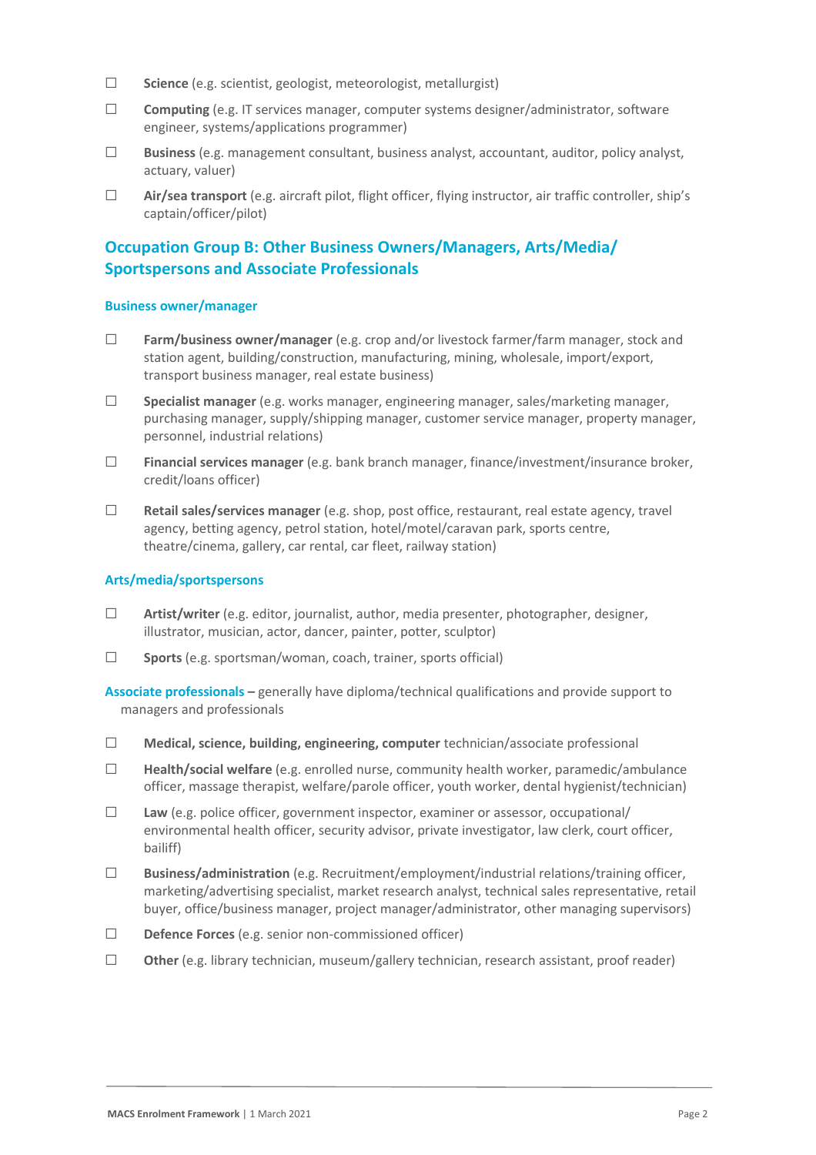- ☐ **Science** (e.g. scientist, geologist, meteorologist, metallurgist)
- ☐ **Computing** (e.g. IT services manager, computer systems designer/administrator, software engineer, systems/applications programmer)
- ☐ **Business** (e.g. management consultant, business analyst, accountant, auditor, policy analyst, actuary, valuer)
- ☐ **Air/sea transport** (e.g. aircraft pilot, flight officer, flying instructor, air traffic controller, ship's captain/officer/pilot)

## **Occupation Group B: Other Business Owners/Managers, Arts/Media/ Sportspersons and Associate Professionals**

#### **Business owner/manager**

- ☐ **Farm/business owner/manager** (e.g. crop and/or livestock farmer/farm manager, stock and station agent, building/construction, manufacturing, mining, wholesale, import/export, transport business manager, real estate business)
- ☐ **Specialist manager** (e.g. works manager, engineering manager, sales/marketing manager, purchasing manager, supply/shipping manager, customer service manager, property manager, personnel, industrial relations)
- ☐ **Financial services manager** (e.g. bank branch manager, finance/investment/insurance broker, credit/loans officer)
- ☐ **Retail sales/services manager** (e.g. shop, post office, restaurant, real estate agency, travel agency, betting agency, petrol station, hotel/motel/caravan park, sports centre, theatre/cinema, gallery, car rental, car fleet, railway station)

#### **Arts/media/sportspersons**

- ☐ **Artist/writer** (e.g. editor, journalist, author, media presenter, photographer, designer, illustrator, musician, actor, dancer, painter, potter, sculptor)
- ☐ **Sports** (e.g. sportsman/woman, coach, trainer, sports official)

**Associate professionals –** generally have diploma/technical qualifications and provide support to managers and professionals

- ☐ **Medical, science, building, engineering, computer** technician/associate professional
- ☐ **Health/social welfare** (e.g. enrolled nurse, community health worker, paramedic/ambulance officer, massage therapist, welfare/parole officer, youth worker, dental hygienist/technician)
- ☐ **Law** (e.g. police officer, government inspector, examiner or assessor, occupational/ environmental health officer, security advisor, private investigator, law clerk, court officer, bailiff)
- ☐ **Business/administration** (e.g. Recruitment/employment/industrial relations/training officer, marketing/advertising specialist, market research analyst, technical sales representative, retail buyer, office/business manager, project manager/administrator, other managing supervisors)
- ☐ **Defence Forces** (e.g. senior non-commissioned officer)
- ☐ **Other** (e.g. library technician, museum/gallery technician, research assistant, proof reader)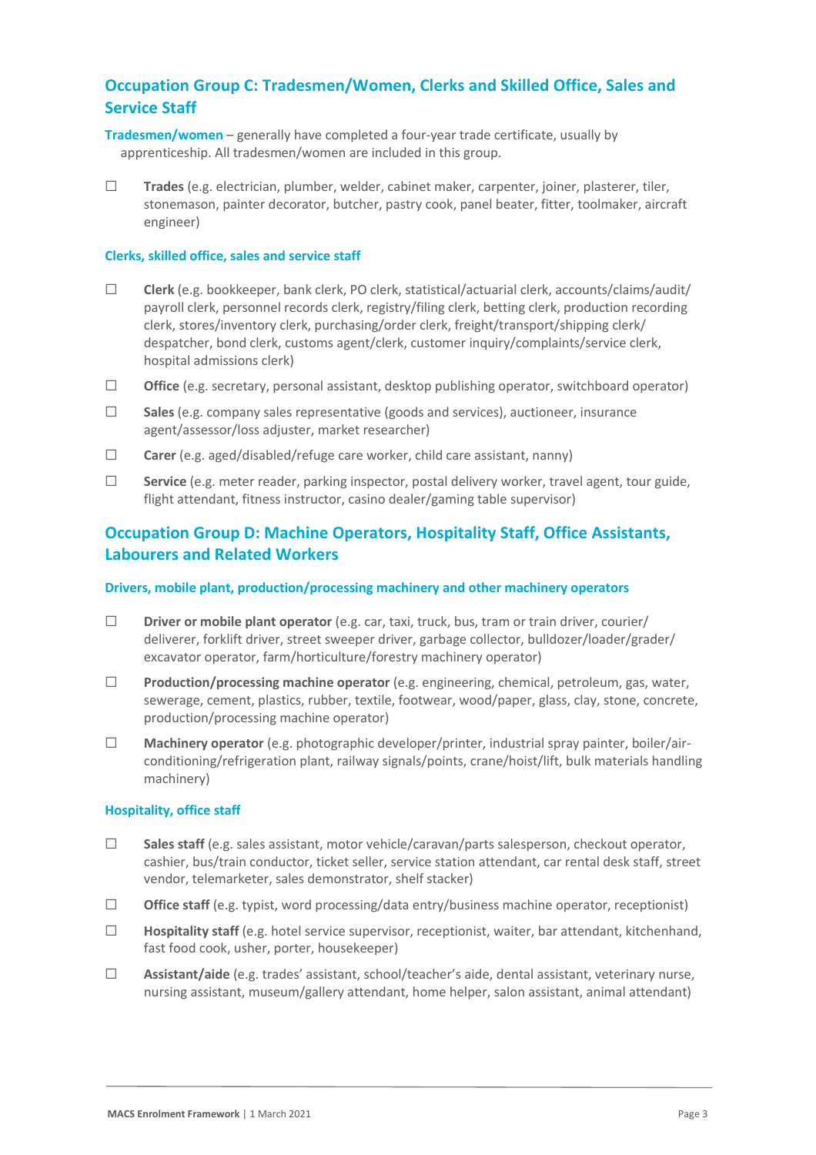## **Occupation Group C: Tradesmen/Women, Clerks and Skilled Office, Sales and Service Staff**

- **Tradesmen/women** generally have completed a four-year trade certificate, usually by apprenticeship. All tradesmen/women are included in this group.
- ☐ **Trades** (e.g. electrician, plumber, welder, cabinet maker, carpenter, joiner, plasterer, tiler, stonemason, painter decorator, butcher, pastry cook, panel beater, fitter, toolmaker, aircraft engineer)

#### **Clerks, skilled office, sales and service staff**

- ☐ **Clerk** (e.g. bookkeeper, bank clerk, PO clerk, statistical/actuarial clerk, accounts/claims/audit/ payroll clerk, personnel records clerk, registry/filing clerk, betting clerk, production recording clerk, stores/inventory clerk, purchasing/order clerk, freight/transport/shipping clerk/ despatcher, bond clerk, customs agent/clerk, customer inquiry/complaints/service clerk, hospital admissions clerk)
- ☐ **Office** (e.g. secretary, personal assistant, desktop publishing operator, switchboard operator)
- ☐ **Sales** (e.g. company sales representative (goods and services), auctioneer, insurance agent/assessor/loss adjuster, market researcher)
- ☐ **Carer** (e.g. aged/disabled/refuge care worker, child care assistant, nanny)
- ☐ **Service** (e.g. meter reader, parking inspector, postal delivery worker, travel agent, tour guide, flight attendant, fitness instructor, casino dealer/gaming table supervisor)

## **Occupation Group D: Machine Operators, Hospitality Staff, Office Assistants, Labourers and Related Workers**

#### **Drivers, mobile plant, production/processing machinery and other machinery operators**

- ☐ **Driver or mobile plant operator** (e.g. car, taxi, truck, bus, tram or train driver, courier/ deliverer, forklift driver, street sweeper driver, garbage collector, bulldozer/loader/grader/ excavator operator, farm/horticulture/forestry machinery operator)
- ☐ **Production/processing machine operator** (e.g. engineering, chemical, petroleum, gas, water, sewerage, cement, plastics, rubber, textile, footwear, wood/paper, glass, clay, stone, concrete, production/processing machine operator)
- ☐ **Machinery operator** (e.g. photographic developer/printer, industrial spray painter, boiler/airconditioning/refrigeration plant, railway signals/points, crane/hoist/lift, bulk materials handling machinery)

#### **Hospitality, office staff**

- ☐ **Sales staff** (e.g. sales assistant, motor vehicle/caravan/parts salesperson, checkout operator, cashier, bus/train conductor, ticket seller, service station attendant, car rental desk staff, street vendor, telemarketer, sales demonstrator, shelf stacker)
- ☐ **Office staff** (e.g. typist, word processing/data entry/business machine operator, receptionist)
- ☐ **Hospitality staff** (e.g. hotel service supervisor, receptionist, waiter, bar attendant, kitchenhand, fast food cook, usher, porter, housekeeper)
- ☐ **Assistant/aide** (e.g. trades' assistant, school/teacher's aide, dental assistant, veterinary nurse, nursing assistant, museum/gallery attendant, home helper, salon assistant, animal attendant)